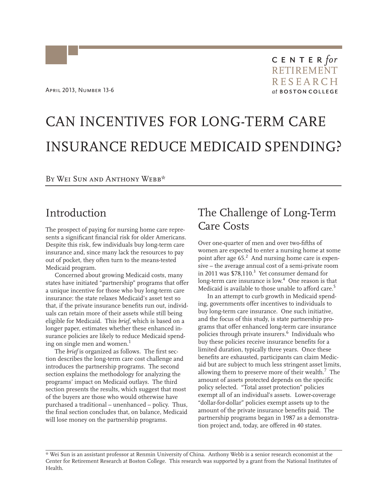# CAN INCENTIVES FOR LONG-TERM CARE INSURANCE REDUCE MEDICAID SPENDING?

By Wei Sun and Anthony Webb\*

## Introduction

The prospect of paying for nursing home care represents a significant financial risk for older Americans. Despite this risk, few individuals buy long-term care insurance and, since many lack the resources to pay out of pocket, they often turn to the means-tested Medicaid program.

Concerned about growing Medicaid costs, many states have initiated "partnership" programs that offer a unique incentive for those who buy long-term care insurance: the state relaxes Medicaid's asset test so that, if the private insurance benefits run out, individuals can retain more of their assets while still being eligible for Medicaid. This *brief*, which is based on a longer paper, estimates whether these enhanced insurance policies are likely to reduce Medicaid spending on single men and women. $^{\rm 1}$ 

The *brief* is organized as follows. The first section describes the long-term care cost challenge and introduces the partnership programs. The second section explains the methodology for analyzing the programs' impact on Medicaid outlays. The third section presents the results, which suggest that most of the buyers are those who would otherwise have purchased a traditional – unenhanced – policy. Thus, the final section concludes that, on balance, Medicaid will lose money on the partnership programs.

# The Challenge of Long-Term Care Costs

Over one-quarter of men and over two-fifths of women are expected to enter a nursing home at some point after age 65.<sup>2</sup> And nursing home care is expensive – the average annual cost of a semi-private room in 2011 was  $$78,110.<sup>3</sup>$  Yet consumer demand for long-term care insurance is low.<sup>4</sup> One reason is that Medicaid is available to those unable to afford care.<sup>5</sup>

In an attempt to curb growth in Medicaid spending, governments offer incentives to individuals to buy long-term care insurance. One such initiative, and the focus of this study, is state partnership programs that offer enhanced long-term care insurance policies through private insurers.<sup>6</sup> Individuals who buy these policies receive insurance benefits for a imited duration, typically three years. Once these l benefits are exhausted, participants can claim Medicid but are subject to much less stringent asset limits, a allowing them to preserve more of their wealth.<sup>7</sup> The mount of assets protected depends on the specific a policy selected. "Total asset protection" policies xempt all of an individual's assets. Lower-coverage e dollar-for-dollar" policies exempt assets up to the " mount of the private insurance benefits paid. The a artnership programs began in 1987 as a demonstra-p tion project and, today, are offered in 40 states.

<sup>\*</sup> Wei Sun is an assistant professor at Renmin University of China. Anthony Webb is a senior research economist at the Center for Retirement Research at Boston College. This research was supported by a grant from the National Institutes of Health.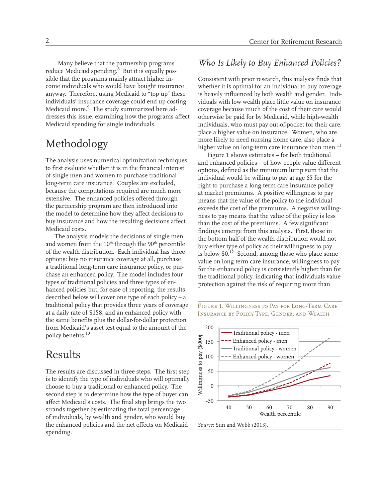Many believe that the partnership programs reduce Medicaid spending.<sup>8</sup> But it is equally possible that the programs mainly attract higher income individuals who would have bought insurance anyway. Therefore, using Medicaid to "top up" these individuals' insurance coverage could end up costing Medicaid more.<sup>9</sup> The study summarized here addresses this issue, examining how the programs affect Medicaid spending for single individuals.

# Methodology

The analysis uses numerical optimization techniques to first evaluate whether it is in the financial interest of single men and women to purchase traditional long-term care insurance. Couples are excluded, because the computations required are much more extensive. The enhanced policies offered through the partnership program are then introduced into the model to determine how they affect decisions to buy insurance and how the resulting decisions affect Medicaid costs.

The analysis models the decisions of single men and women from the 10<sup>th</sup> through the 90<sup>th</sup> percentile of the wealth distribution. Each individual has three options: buy no insurance coverage at all, purchase a traditional long-term care insurance policy, or purchase an enhanced policy. The model includes four types of traditional policies and three types of enhanced policies but, for ease of reporting, the results described below will cover one type of each policy – a traditional policy that provides three years of coverage at a daily rate of \$158; and an enhanced policy with the same benefits plus the dollar-for-dollar protection from Medicaid's asset test equal to the amount of the policy benefits.<sup>10</sup>

## Results

The results are discussed in three steps. The first step is to identify the type of individuals who will optimally choose to buy a traditional or enhanced policy. The second step is to determine how the type of buyer can affect Medicaid's costs. The final step brings the two strands together by estimating the total percentage of individuals, by wealth and gender, who would buy the enhanced policies and the net effects on Medicaid spending.

#### *Who Is Likely to Buy Enhanced Policies?*

Consistent with prior research, this analysis finds that whether it is optimal for an individual to buy coverage is heavily influenced by both wealth and gender. Individuals with low wealth place little value on insurance coverage because much of the cost of their care would otherwise be paid for by Medicaid, while high-wealth individuals, who must pay out-of-pocket for their care, place a higher value on insurance. Women, who are more likely to need nursing home care, also place a higher value on long-term care insurance than men. $^{11}$ 

Figure 1 shows estimates – for both traditional and enhanced policies – of how people value different options, defined as the minimum lump sum that the individual would be willing to pay at age 65 for the right to purchase a long-term care insurance policy at market premiums. A positive willingness to pay means that the value of the policy to the individual exceeds the cost of the premiums. A negative willingness to pay means that the value of the policy is less than the cost of the premiums. A few significant findings emerge from this analysis. First, those in the bottom half of the wealth distribution would not buy either type of policy as their willingness to pay is below  $$0.<sup>12</sup>$  Second, among those who place some value on long-term care insurance, willingness to pay for the enhanced policy is consistently higher than for the traditional policy, indicating that individuals value protection against the risk of requiring more than

Figure 1. Willingness to Pay for Long-Term Care Insurance by Policy Type, Gender, and Wealth

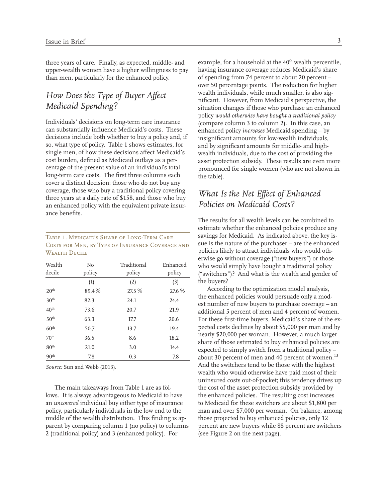three years of care. Finally, as expected, middle- and upper-wealth women have a higher willingness to pay than men, particularly for the enhanced policy.

## *How Does the Type of Buyer Affect Medicaid Spending?*

Individuals' decisions on long-term care insurance can substantially influence Medicaid's costs. These decisions include both whether to buy a policy and, if so, what type of policy. Table 1 shows estimates, for single men, of how these decisions affect Medicaid's cost burden, defined as Medicaid outlays as a percentage of the present value of an individual's total long-term care costs. The first three columns each cover a distinct decision: those who do not buy any coverage, those who buy a traditional policy covering three years at a daily rate of \$158, and those who buy an enhanced policy with the equivalent private insurance benefits.

#### Table 1. Medicaid's Share of Long-Term Care Costs for Men, by Type of Insurance Coverage and Wealth Decile

| Wealth           | N <sub>o</sub> | Traditional | Enhanced |
|------------------|----------------|-------------|----------|
| decile           | policy         | policy      | policy   |
|                  | (1)            | (2)         | (3)      |
| 20 <sup>th</sup> | 89.4%          | 27.5 %      | 27.6 %   |
| 30 <sup>th</sup> | 82.3           | 24.1        | 24.4     |
| 40 <sup>th</sup> | 73.6           | 20.7        | 21.9     |
| 50 <sup>th</sup> | 63.3           | 17.7        | 20.6     |
| 60 <sup>th</sup> | 50.7           | 13.7        | 19.4     |
| 70 <sup>th</sup> | 36.5           | 8.6         | 18.2     |
| 80 <sup>th</sup> | 21.0           | 3.0         | 14.4     |
| 90 <sup>th</sup> | 7.8            | 0.3         | 7.8      |

*Source:* Sun and Webb (2013).

The main takeaways from Table 1 are as follows. It is always advantageous to Medicaid to have an *uncovered* individual buy either type of insurance policy, particularly individuals in the low end to the middle of the wealth distribution. This finding is apparent by comparing column 1 (no policy) to columns 2 (traditional policy) and 3 (enhanced policy). For

example, for a household at the 40<sup>th</sup> wealth percentile, having insurance coverage reduces Medicaid's share of spending from 74 percent to about 20 percent – over 50 percentage points. The reduction for higher wealth individuals, while much smaller, is also significant. However, from Medicaid's perspective, the situation changes if those who purchase an enhanced policy *would otherwise have bought a traditional policy*  (compare column 3 to column 2). In this case, an enhanced policy *increases* Medicaid spending – by insignificant amounts for low-wealth individuals, and by significant amounts for middle- and highwealth individuals, due to the cost of providing the asset protection subsidy. These results are even more pronounced for single women (who are not shown in the table).

## *What Is the Net Effect of Enhanced Policies on Medicaid Costs?*

The results for all wealth levels can be combined to estimate whether the enhanced policies produce any savings for Medicaid. As indicated above, the key issue is the nature of the purchaser – are the enhanced policies likely to attract individuals who would otherwise go without coverage ("new buyers") or those who would simply have bought a traditional policy ("switchers")? And what is the wealth and gender of the buyers?

According to the optimization model analysis, the enhanced policies would persuade only a modest number of new buyers to purchase coverage - an additional 5 percent of men and 4 percent of women. For these first-time buyers, Medicaid's share of the expected costs declines by about \$5,000 per man and by nearly \$20,000 per woman. However, a much larger hare of those estimated to buy enhanced policies are s xpected to simply switch from a traditional policy – e about 30 percent of men and 40 percent of women. $^{13}$ And the switchers tend to be those with the highest wealth who would otherwise have paid most of their uninsured costs out-of-pocket; this tendency drives up the cost of the asset protection subsidy provided by the enhanced policies. The resulting cost increases to Medicaid for these switchers are about \$1,800 per man and over \$7,000 per woman. On balance, among those projected to buy enhanced policies, only 12 ercent are new buyers while 88 percent are switchers p (see Figure 2 on the next page).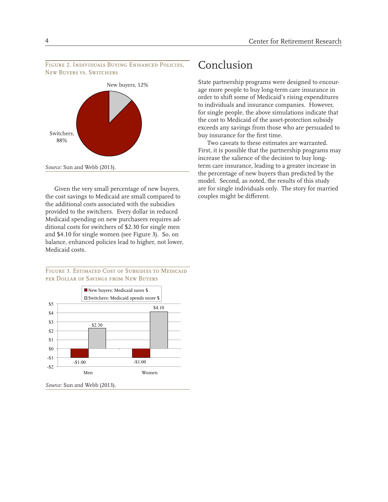



Given the very small percentage of new buyers, the cost savings to Medicaid are small compared to the additional costs associated with the subsidies provided to the switchers. Every dollar in reduced Medicaid spending on new purchasers requires additional costs for switchers of \$2.30 for single men and \$4.10 for single women (see Figure 3). So, on balance, enhanced policies lead to higher, not lower, Medicaid costs.

FIGURE 3. ESTIMATED COST OF SUBSIDIES TO MEDICAID per Dollar of Savings from New Buyers



*Source:* Sun and Webb (2013).

# Conclusion

State partnership programs were designed to encourage more people to buy long-term care insurance in order to shift some of Medicaid's rising expenditures to individuals and insurance companies. However, for single people, the above simulations indicate that the cost to Medicaid of the asset-protection subsidy exceeds any savings from those who are persuaded to buy insurance for the first time.

Two caveats to these estimates are warranted. First, it is possible that the partnership programs may increase the salience of the decision to buy longterm care insurance, leading to a greater increase in the percentage of new buyers than predicted by the model. Second, as noted, the results of this study are for single individuals only. The story for married couples might be different.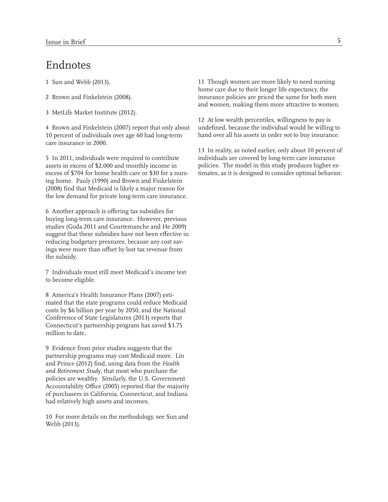## Endnotes

- 
- 
- 3 MetLife Market Institute (2012).

10 percent of individuals over age 60 had long-term hand over all his assets in order *not* to buy insurance. care insurance in 2000.

ing home. Pauly (1990) and Brown and Finkelstein (2008) find that Medicaid is likely a major reason for the low demand for private long-term care insurance.

6 Another approach is offering tax subsidies for buying long-term care insurance. However, previous studies (Goda 2011 and Courtemanche and He 2009) suggest that these subsidies have not been effective in reducing budgetary pressures, because any cost savings were more than offset by lost tax revenue from the subsidy.

7 Individuals must still meet Medicaid's income test to become eligible.

8 America's Health Insurance Plans (2007) estimated that the state programs could reduce Medicaid costs by \$6 billion per year by 2050, and the National Conference of State Legislatures (2013) reports that Connecticut's partnership program has saved \$3.75 million to date.

9 Evidence from prior studies suggests that the partnership programs may cost Medicaid more. Lin and Prince (2012) find, using data from the *Health and Retirement Study*, that most who purchase the policies are wealthy. Similarly, the U.S. Government Accountability Office (2005) reported that the majority of purchasers in California, Connecticut, and Indiana had relatively high assets and incomes.

10 For more details on the methodology, see Sun and Webb (2013).

1 Sun and Webb (2013). 11 Though women are more likely to need nursing home care due to their longer life expectancy, the 2 Brown and Finkelstein (2008). insurance policies are priced the same for both men and women, making them more attractive to women.

12 At low wealth percentiles, willingness to pay is 4 Brown and Finkelstein (2007) report that only about undefined, because the individual would be willing to

13 In reality, as noted earlier, only about 10 percent of 5 In 2011, individuals were required to contribute individuals are covered by long-term care insurance assets in excess of \$2,000 and monthly income in policies. The model in this study produces higher esexcess of \$704 for home health care or \$30 for a nurs- timates, as it is designed to consider optimal behavior.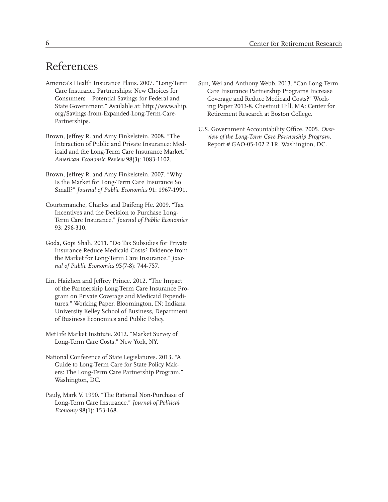- America's Health Insurance Plans. 2007. "Long-Term Sun, Wei and Anthony Webb. 2013. "Can Long-Term Care Insurance Partnership Sun, Wei and Anthony Webb. 2013. "Can Long-Term Consumers – Potential Savings for Federal and Coverage and Reduce Medicaid Costs?" Work-<br>State Government." Available at: http://www.ahip. ing Paper 2013-8. Chestnut Hill, MA: Center fo org/Savings-from-Expanded-Long-Term-Care- Retirement Research at Boston College. Partnerships.
- Brown, Jeffrey R. and Amy Finkelstein. 2008. "The *view of the Long-Term Care Partnership Program*. icaid and the Long-Term Care Insurance Market." *American Economic Review* 98(3): 1083-1102.
- Brown, Jeffrey R. and Amy Finkelstein. 2007. "Why Is the Market for Long-Term Care Insurance So Small?" *Journal of Public Economics* 91: 1967-1991.
- Courtemanche, Charles and Daifeng He. 2009. "Tax Incentives and the Decision to Purchase Long-Term Care Insurance." *Journal of Public Economics* 93: 296-310.
- Goda, Gopi Shah. 2011. "Do Tax Subsidies for Private Insurance Reduce Medicaid Costs? Evidence from the Market for Long-Term Care Insurance." *Journal of Public Economics* 95(7-8): 744-757.
- Lin, Haizhen and Jeffrey Prince. 2012. "The Impact of the Partnership Long-Term Care Insurance Program on Private Coverage and Medicaid Expenditures." Working Paper. Bloomington, IN: Indiana University Kelley School of Business, Department of Business Economics and Public Policy.
- MetLife Market Institute. 2012. "Market Survey of Long-Term Care Costs." New York, NY.
- National Conference of State Legislatures. 2013. "A Guide to Long-Term Care for State Policy Makers: The Long-Term Care Partnership Program." Washington, DC.
- Pauly, Mark V. 1990. "The Rational Non-Purchase of Long-Term Care Insurance." *Journal of Political Economy* 98(1): 153-168.
- Care Insurance Partnerships: New Choices for Care Insurance Partnership Programs Increase ing Paper 2013-8. Chestnut Hill, MA: Center for
	- U.S. Government Accountability Office. 2005. *Over-*Report # GAO-05-102 2 1R. Washington, DC.